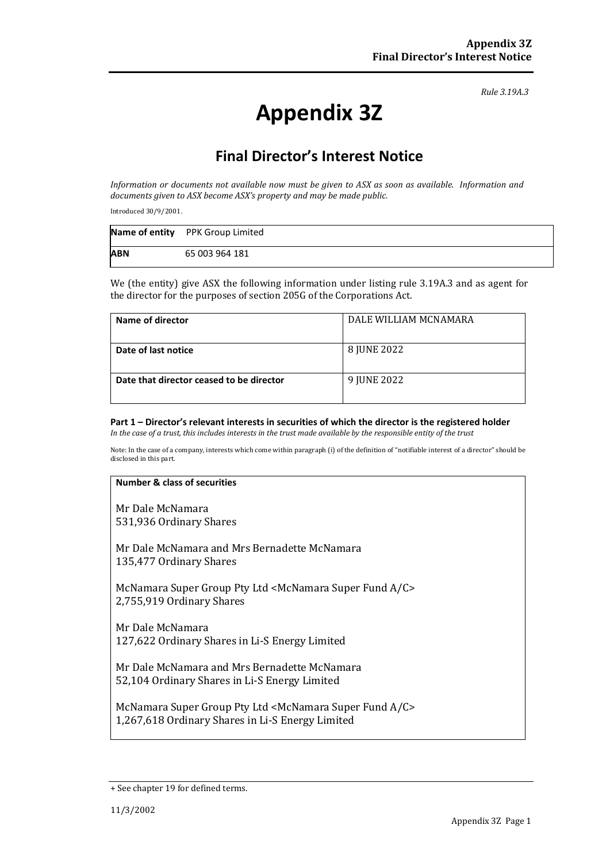*Rule 3.19A.3*

# **Appendix 3Z**

# **Final Director's Interest Notice**

*Information or documents not available now must be given to ASX as soon as available. Information and documents given to ASX become ASX's property and may be made public.*

Introduced 30/9/2001.

|            | Name of entity PPK Group Limited |
|------------|----------------------------------|
| <b>ABN</b> | 65 003 964 181                   |

We (the entity) give ASX the following information under listing rule 3.19A.3 and as agent for the director for the purposes of section 205G of the Corporations Act.

| Name of director                         | DALE WILLIAM MCNAMARA |
|------------------------------------------|-----------------------|
| Date of last notice                      | 8 JUNE 2022           |
| Date that director ceased to be director | 9 JUNE 2022           |

#### **Part 1 – Director's relevant interests in securities of which the director is the registered holder** *In the case of a trust, this includes interests in the trust made available by the responsible entity of the trust*

Note: In the case of a company, interests which come within paragraph (i) of the definition of "notifiable interest of a director" should be disclosed in this part.

#### **Number & class of securities**

Mr Dale McNamara 531,936 Ordinary Shares

Mr Dale McNamara and Mrs Bernadette McNamara 135,477 Ordinary Shares

McNamara Super Group Pty Ltd <McNamara Super Fund A/C> 2,755,919 Ordinary Shares

Mr Dale McNamara 127,622 Ordinary Shares in Li-S Energy Limited

Mr Dale McNamara and Mrs Bernadette McNamara 52,104 Ordinary Shares in Li-S Energy Limited

McNamara Super Group Pty Ltd <McNamara Super Fund A/C> 1,267,618 Ordinary Shares in Li-S Energy Limited

<sup>+</sup> See chapter 19 for defined terms.